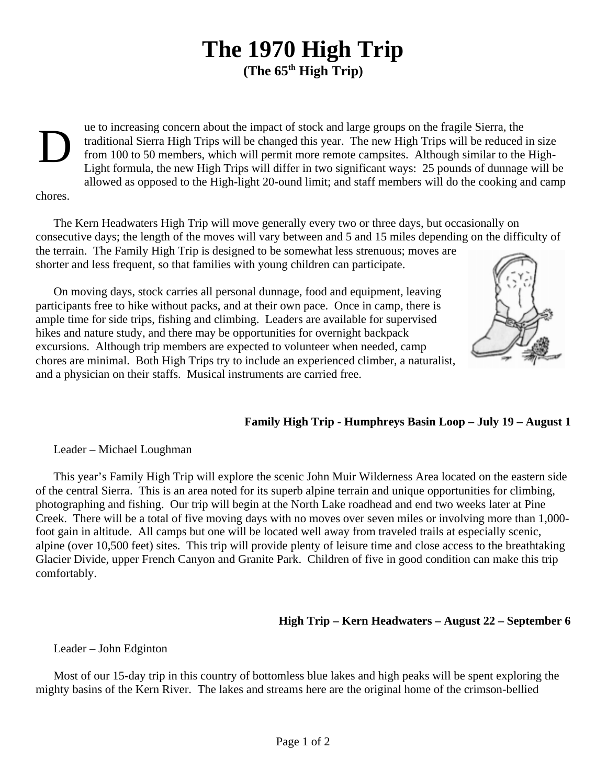## **The 1970 High Trip (The 65th High Trip)**

D

ue to increasing concern about the impact of stock and large groups on the fragile Sierra, the traditional Sierra High Trips will be changed this year. The new High Trips will be reduced in size from 100 to 50 members, which will permit more remote campsites. Although similar to the High-Light formula, the new High Trips will differ in two significant ways: 25 pounds of dunnage will be allowed as opposed to the High-light 20-ound limit; and staff members will do the cooking and camp

chores.

The Kern Headwaters High Trip will move generally every two or three days, but occasionally on consecutive days; the length of the moves will vary between and 5 and 15 miles depending on the difficulty of the terrain. The Family High Trip is designed to be somewhat less strenuous; moves are shorter and less frequent, so that families with young children can participate.

On moving days, stock carries all personal dunnage, food and equipment, leaving participants free to hike without packs, and at their own pace. Once in camp, there is ample time for side trips, fishing and climbing. Leaders are available for supervised hikes and nature study, and there may be opportunities for overnight backpack excursions. Although trip members are expected to volunteer when needed, camp chores are minimal. Both High Trips try to include an experienced climber, a naturalist, and a physician on their staffs. Musical instruments are carried free.



## **Family High Trip - Humphreys Basin Loop – July 19 – August 1**

Leader – Michael Loughman

This year's Family High Trip will explore the scenic John Muir Wilderness Area located on the eastern side of the central Sierra. This is an area noted for its superb alpine terrain and unique opportunities for climbing, photographing and fishing. Our trip will begin at the North Lake roadhead and end two weeks later at Pine Creek. There will be a total of five moving days with no moves over seven miles or involving more than 1,000 foot gain in altitude. All camps but one will be located well away from traveled trails at especially scenic, alpine (over 10,500 feet) sites. This trip will provide plenty of leisure time and close access to the breathtaking Glacier Divide, upper French Canyon and Granite Park. Children of five in good condition can make this trip comfortably.

## **High Trip – Kern Headwaters – August 22 – September 6**

Leader – John Edginton

Most of our 15-day trip in this country of bottomless blue lakes and high peaks will be spent exploring the mighty basins of the Kern River. The lakes and streams here are the original home of the crimson-bellied